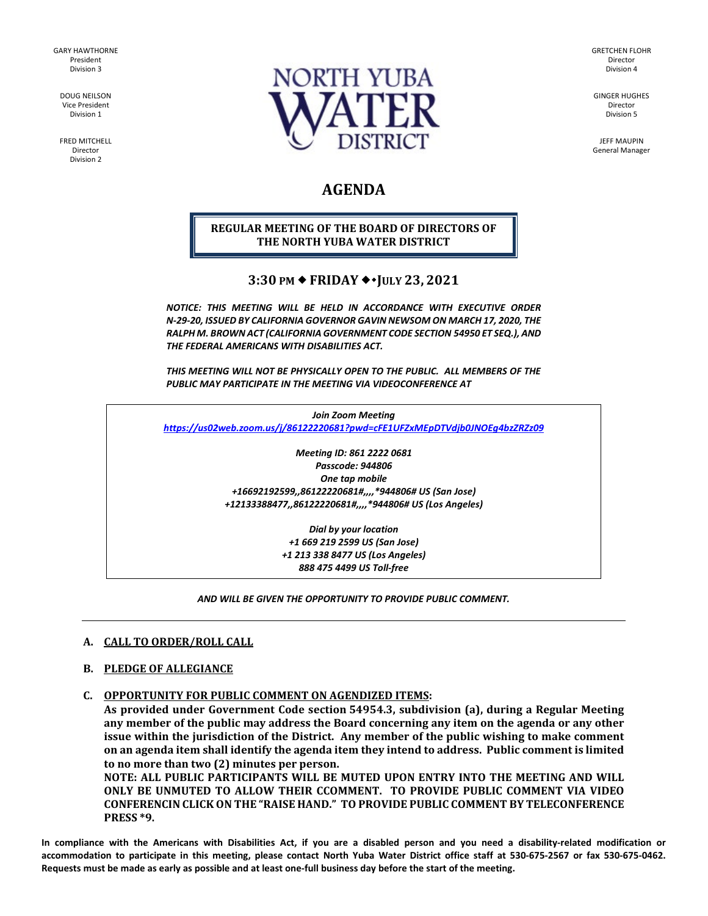GARY HAWTHORNE President Division 3

> DOUG NEILSON Vice President Division 1

FRED MITCHELL Director Division 2



GRETCHEN FLOHR Director Division 4

GINGER HUGHES Director Division 5

JEFF MAUPIN General Manager

# **AGENDA**

# **REGULAR MEETING OF THE BOARD OF DIRECTORS OF THE NORTH YUBA WATER DISTRICT**

# **3:30 PM FRIDAY JULY 23, 2021**

*NOTICE: THIS MEETING WILL BE HELD IN ACCORDANCE WITH EXECUTIVE ORDER N-29-20, ISSUED BY CALIFORNIA GOVERNOR GAVIN NEWSOM ON MARCH 17, 2020, THE RALPH M. BROWN ACT (CALIFORNIA GOVERNMENT CODE SECTION 54950 ET SEQ.), AND THE FEDERAL AMERICANS WITH DISABILITIES ACT.* 

*THIS MEETING WILL NOT BE PHYSICALLY OPEN TO THE PUBLIC. ALL MEMBERS OF THE PUBLIC MAY PARTICIPATE IN THE MEETING VIA VIDEOCONFERENCE AT* 

*Join Zoom Meeting <https://us02web.zoom.us/j/86122220681?pwd=cFE1UFZxMEpDTVdjb0JNOEg4bzZRZz09>*

> *Meeting ID: 861 2222 0681 Passcode: 944806 One tap mobile +16692192599,,86122220681#,,,,\*944806# US (San Jose) +12133388477,,86122220681#,,,,\*944806# US (Los Angeles)*

> > *Dial by your location +1 669 219 2599 US (San Jose) +1 213 338 8477 US (Los Angeles) 888 475 4499 US Toll-free*

## *AND WILL BE GIVEN THE OPPORTUNITY TO PROVIDE PUBLIC COMMENT.*

## **A. CALL TO ORDER/ROLL CALL**

#### **B. PLEDGE OF ALLEGIANCE**

**C. OPPORTUNITY FOR PUBLIC COMMENT ON AGENDIZED ITEMS:** 

**As provided under Government Code section 54954.3, subdivision (a), during a Regular Meeting any member of the public may address the Board concerning any item on the agenda or any other issue within the jurisdiction of the District. Any member of the public wishing to make comment on an agenda item shall identify the agenda item they intend to address. Public comment is limited to no more than two (2) minutes per person.** 

**NOTE: ALL PUBLIC PARTICIPANTS WILL BE MUTED UPON ENTRY INTO THE MEETING AND WILL ONLY BE UNMUTED TO ALLOW THEIR CCOMMENT. TO PROVIDE PUBLIC COMMENT VIA VIDEO CONFERENCIN CLICK ON THE "RAISE HAND." TO PROVIDE PUBLIC COMMENT BY TELECONFERENCE PRESS \*9.**

**In compliance with the Americans with Disabilities Act, if you are a disabled person and you need a disability-related modification or accommodation to participate in this meeting, please contact North Yuba Water District office staff at 530-675-2567 or fax 530-675-0462. Requests must be made as early as possible and at least one-full business day before the start of the meeting.**